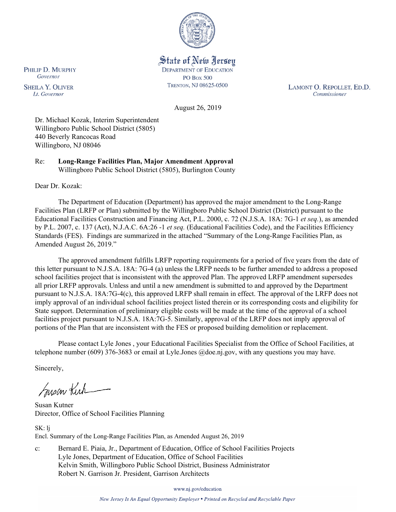

State of New Jersey **DEPARTMENT OF EDUCATION PO Box 500** TRENTON, NJ 08625-0500

LAMONT O. REPOLLET, ED.D. Commissioner

August 26, 2019

Dr. Michael Kozak, Interim Superintendent Willingboro Public School District (5805) 440 Beverly Rancocas Road Willingboro, NJ 08046

Re: **Long-Range Facilities Plan, Major Amendment Approval** Willingboro Public School District (5805), Burlington County

Dear Dr. Kozak:

The Department of Education (Department) has approved the major amendment to the Long-Range Facilities Plan (LRFP or Plan) submitted by the Willingboro Public School District (District) pursuant to the Educational Facilities Construction and Financing Act, P.L. 2000, c. 72 (N.J.S.A. 18A: 7G-1 *et seq.*), as amended by P.L. 2007, c. 137 (Act), N.J.A.C. 6A:26 -1 *et seq.* (Educational Facilities Code), and the Facilities Efficiency Standards (FES). Findings are summarized in the attached "Summary of the Long-Range Facilities Plan, as Amended August 26, 2019."

The approved amendment fulfills LRFP reporting requirements for a period of five years from the date of this letter pursuant to N.J.S.A. 18A: 7G-4 (a) unless the LRFP needs to be further amended to address a proposed school facilities project that is inconsistent with the approved Plan. The approved LRFP amendment supersedes all prior LRFP approvals. Unless and until a new amendment is submitted to and approved by the Department pursuant to N.J.S.A. 18A:7G-4(c), this approved LRFP shall remain in effect. The approval of the LRFP does not imply approval of an individual school facilities project listed therein or its corresponding costs and eligibility for State support. Determination of preliminary eligible costs will be made at the time of the approval of a school facilities project pursuant to N.J.S.A. 18A:7G-5. Similarly, approval of the LRFP does not imply approval of portions of the Plan that are inconsistent with the FES or proposed building demolition or replacement.

Please contact Lyle Jones , your Educational Facilities Specialist from the Office of School Facilities, at telephone number (609) 376-3683 or email at Lyle.Jones @doe.nj.gov, with any questions you may have.

Sincerely,

Susan Kich

Susan Kutner Director, Office of School Facilities Planning

SK: lj Encl. Summary of the Long-Range Facilities Plan, as Amended August 26, 2019

c: Bernard E. Piaia, Jr., Department of Education, Office of School Facilities Projects Lyle Jones, Department of Education, Office of School Facilities Kelvin Smith, Willingboro Public School District, Business Administrator Robert N. Garrison Jr. President, Garrison Architects

www.nj.gov/education

New Jersey Is An Equal Opportunity Employer . Printed on Recycled and Recyclable Paper

PHILIP D. MURPHY Governor

**SHEILA Y. OLIVER** Lt. Governor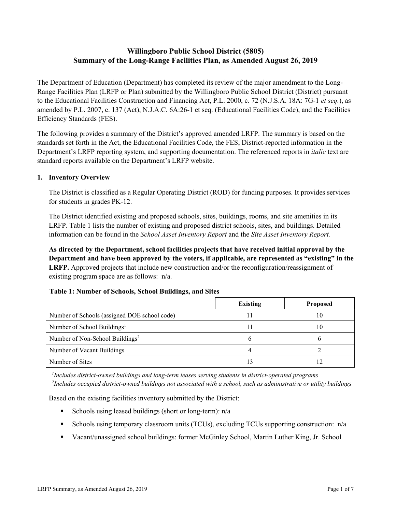# **Willingboro Public School District (5805) Summary of the Long-Range Facilities Plan, as Amended August 26, 2019**

The Department of Education (Department) has completed its review of the major amendment to the Long-Range Facilities Plan (LRFP or Plan) submitted by the Willingboro Public School District (District) pursuant to the Educational Facilities Construction and Financing Act, P.L. 2000, c. 72 (N.J.S.A. 18A: 7G-1 *et seq.*), as amended by P.L. 2007, c. 137 (Act), N.J.A.C. 6A:26-1 et seq. (Educational Facilities Code), and the Facilities Efficiency Standards (FES).

The following provides a summary of the District's approved amended LRFP. The summary is based on the standards set forth in the Act, the Educational Facilities Code, the FES, District-reported information in the Department's LRFP reporting system, and supporting documentation. The referenced reports in *italic* text are standard reports available on the Department's LRFP website.

### **1. Inventory Overview**

The District is classified as a Regular Operating District (ROD) for funding purposes. It provides services for students in grades PK-12.

The District identified existing and proposed schools, sites, buildings, rooms, and site amenities in its LRFP. Table 1 lists the number of existing and proposed district schools, sites, and buildings. Detailed information can be found in the *School Asset Inventory Report* and the *Site Asset Inventory Report.*

**As directed by the Department, school facilities projects that have received initial approval by the Department and have been approved by the voters, if applicable, are represented as "existing" in the LRFP.** Approved projects that include new construction and/or the reconfiguration/reassignment of existing program space are as follows: n/a.

|  | Table 1: Number of Schools, School Buildings, and Sites |
|--|---------------------------------------------------------|
|--|---------------------------------------------------------|

|                                              | <b>Existing</b> | <b>Proposed</b> |
|----------------------------------------------|-----------------|-----------------|
| Number of Schools (assigned DOE school code) |                 | 10              |
| Number of School Buildings <sup>1</sup>      |                 | 10              |
| Number of Non-School Buildings <sup>2</sup>  |                 |                 |
| Number of Vacant Buildings                   |                 |                 |
| Number of Sites                              |                 |                 |

*1 Includes district-owned buildings and long-term leases serving students in district-operated programs 2 Includes occupied district-owned buildings not associated with a school, such as administrative or utility buildings*

Based on the existing facilities inventory submitted by the District:

- Schools using leased buildings (short or long-term):  $n/a$
- Schools using temporary classroom units (TCUs), excluding TCUs supporting construction:  $n/a$
- Vacant/unassigned school buildings: former McGinley School, Martin Luther King, Jr. School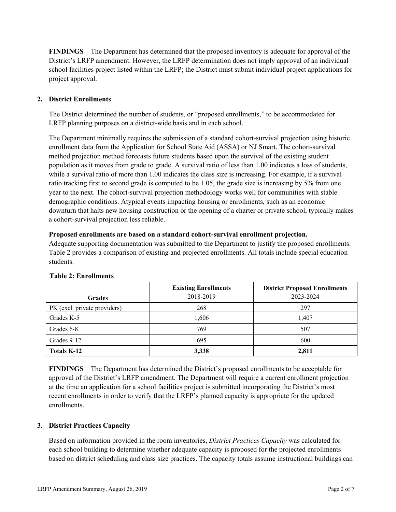**FINDINGS** The Department has determined that the proposed inventory is adequate for approval of the District's LRFP amendment. However, the LRFP determination does not imply approval of an individual school facilities project listed within the LRFP; the District must submit individual project applications for project approval.

# **2. District Enrollments**

The District determined the number of students, or "proposed enrollments," to be accommodated for LRFP planning purposes on a district-wide basis and in each school.

The Department minimally requires the submission of a standard cohort-survival projection using historic enrollment data from the Application for School State Aid (ASSA) or NJ Smart. The cohort-survival method projection method forecasts future students based upon the survival of the existing student population as it moves from grade to grade. A survival ratio of less than 1.00 indicates a loss of students, while a survival ratio of more than 1.00 indicates the class size is increasing. For example, if a survival ratio tracking first to second grade is computed to be 1.05, the grade size is increasing by 5% from one year to the next. The cohort-survival projection methodology works well for communities with stable demographic conditions. Atypical events impacting housing or enrollments, such as an economic downturn that halts new housing construction or the opening of a charter or private school, typically makes a cohort-survival projection less reliable.

#### **Proposed enrollments are based on a standard cohort-survival enrollment projection.**

Adequate supporting documentation was submitted to the Department to justify the proposed enrollments. Table 2 provides a comparison of existing and projected enrollments. All totals include special education students.

| <b>Grades</b>                | <b>Existing Enrollments</b><br>2018-2019 | <b>District Proposed Enrollments</b><br>2023-2024 |
|------------------------------|------------------------------------------|---------------------------------------------------|
| PK (excl. private providers) | 268                                      | 297                                               |
| Grades K-5                   | 1,606                                    | 1,407                                             |
| Grades 6-8                   | 769                                      | 507                                               |
| Grades 9-12                  | 695                                      | 600                                               |
| <b>Totals K-12</b>           | 3,338                                    | 2,811                                             |

#### **Table 2: Enrollments**

**FINDINGS** The Department has determined the District's proposed enrollments to be acceptable for approval of the District's LRFP amendment. The Department will require a current enrollment projection at the time an application for a school facilities project is submitted incorporating the District's most recent enrollments in order to verify that the LRFP's planned capacity is appropriate for the updated enrollments.

#### **3. District Practices Capacity**

Based on information provided in the room inventories, *District Practices Capacity* was calculated for each school building to determine whether adequate capacity is proposed for the projected enrollments based on district scheduling and class size practices. The capacity totals assume instructional buildings can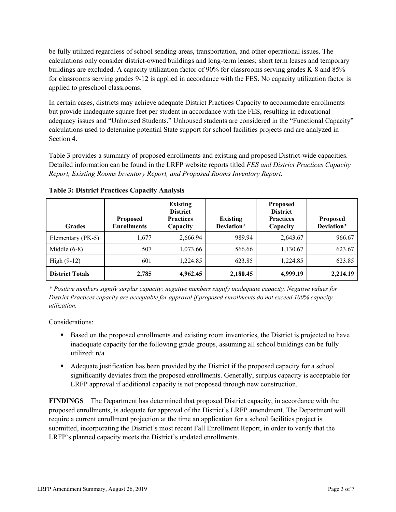be fully utilized regardless of school sending areas, transportation, and other operational issues. The calculations only consider district-owned buildings and long-term leases; short term leases and temporary buildings are excluded. A capacity utilization factor of 90% for classrooms serving grades K-8 and 85% for classrooms serving grades 9-12 is applied in accordance with the FES. No capacity utilization factor is applied to preschool classrooms.

In certain cases, districts may achieve adequate District Practices Capacity to accommodate enrollments but provide inadequate square feet per student in accordance with the FES, resulting in educational adequacy issues and "Unhoused Students." Unhoused students are considered in the "Functional Capacity" calculations used to determine potential State support for school facilities projects and are analyzed in Section 4.

Table 3 provides a summary of proposed enrollments and existing and proposed District-wide capacities. Detailed information can be found in the LRFP website reports titled *FES and District Practices Capacity Report, Existing Rooms Inventory Report, and Proposed Rooms Inventory Report.*

| <b>Grades</b>          | <b>Proposed</b><br><b>Enrollments</b> | <b>Existing</b><br><b>District</b><br><b>Practices</b><br>Capacity | <b>Existing</b><br>Deviation* | <b>Proposed</b><br><b>District</b><br><b>Practices</b><br>Capacity | <b>Proposed</b><br>Deviation* |
|------------------------|---------------------------------------|--------------------------------------------------------------------|-------------------------------|--------------------------------------------------------------------|-------------------------------|
| Elementary (PK-5)      | 1,677                                 | 2,666.94                                                           | 989.94                        | 2,643.67                                                           | 966.67                        |
| Middle $(6-8)$         | 507                                   | 1,073.66                                                           | 566.66                        | 1,130.67                                                           | 623.67                        |
| High $(9-12)$          | 601                                   | 1,224.85                                                           | 623.85                        | 1,224.85                                                           | 623.85                        |
| <b>District Totals</b> | 2,785                                 | 4,962.45                                                           | 2,180.45                      | 4,999.19                                                           | 2,214.19                      |

**Table 3: District Practices Capacity Analysis**

*\* Positive numbers signify surplus capacity; negative numbers signify inadequate capacity. Negative values for District Practices capacity are acceptable for approval if proposed enrollments do not exceed 100% capacity utilization.*

Considerations:

- Based on the proposed enrollments and existing room inventories, the District is projected to have inadequate capacity for the following grade groups, assuming all school buildings can be fully utilized: n/a
- Adequate justification has been provided by the District if the proposed capacity for a school significantly deviates from the proposed enrollments. Generally, surplus capacity is acceptable for LRFP approval if additional capacity is not proposed through new construction.

**FINDINGS**The Department has determined that proposed District capacity, in accordance with the proposed enrollments, is adequate for approval of the District's LRFP amendment. The Department will require a current enrollment projection at the time an application for a school facilities project is submitted, incorporating the District's most recent Fall Enrollment Report, in order to verify that the LRFP's planned capacity meets the District's updated enrollments.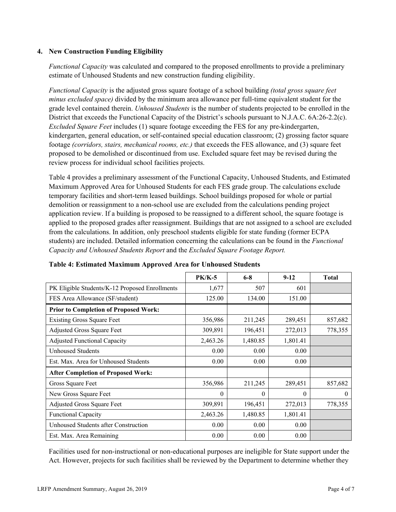### **4. New Construction Funding Eligibility**

*Functional Capacity* was calculated and compared to the proposed enrollments to provide a preliminary estimate of Unhoused Students and new construction funding eligibility.

*Functional Capacity* is the adjusted gross square footage of a school building *(total gross square feet minus excluded space)* divided by the minimum area allowance per full-time equivalent student for the grade level contained therein. *Unhoused Students* is the number of students projected to be enrolled in the District that exceeds the Functional Capacity of the District's schools pursuant to N.J.A.C. 6A:26-2.2(c). *Excluded Square Feet* includes (1) square footage exceeding the FES for any pre-kindergarten, kindergarten, general education, or self-contained special education classroom; (2) grossing factor square footage *(corridors, stairs, mechanical rooms, etc.)* that exceeds the FES allowance, and (3) square feet proposed to be demolished or discontinued from use. Excluded square feet may be revised during the review process for individual school facilities projects.

Table 4 provides a preliminary assessment of the Functional Capacity, Unhoused Students, and Estimated Maximum Approved Area for Unhoused Students for each FES grade group. The calculations exclude temporary facilities and short-term leased buildings. School buildings proposed for whole or partial demolition or reassignment to a non-school use are excluded from the calculations pending project application review. If a building is proposed to be reassigned to a different school, the square footage is applied to the proposed grades after reassignment. Buildings that are not assigned to a school are excluded from the calculations. In addition, only preschool students eligible for state funding (former ECPA students) are included. Detailed information concerning the calculations can be found in the *Functional Capacity and Unhoused Students Report* and the *Excluded Square Footage Report.*

|                                                | $PK/K-5$ | $6 - 8$  | $9-12$   | <b>Total</b> |
|------------------------------------------------|----------|----------|----------|--------------|
| PK Eligible Students/K-12 Proposed Enrollments | 1,677    | 507      | 601      |              |
| FES Area Allowance (SF/student)                | 125.00   | 134.00   | 151.00   |              |
| <b>Prior to Completion of Proposed Work:</b>   |          |          |          |              |
| <b>Existing Gross Square Feet</b>              | 356,986  | 211,245  | 289,451  | 857,682      |
| Adjusted Gross Square Feet                     | 309,891  | 196,451  | 272,013  | 778,355      |
| <b>Adjusted Functional Capacity</b>            | 2,463.26 | 1,480.85 | 1,801.41 |              |
| Unhoused Students                              | 0.00     | 0.00     | 0.00     |              |
| Est. Max. Area for Unhoused Students           | 0.00     | 0.00     | 0.00     |              |
| <b>After Completion of Proposed Work:</b>      |          |          |          |              |
| Gross Square Feet                              | 356,986  | 211,245  | 289,451  | 857,682      |
| New Gross Square Feet                          | $\theta$ | $\theta$ | $\theta$ | $\theta$     |
| Adjusted Gross Square Feet                     | 309,891  | 196,451  | 272,013  | 778,355      |
| <b>Functional Capacity</b>                     | 2,463.26 | 1,480.85 | 1,801.41 |              |
| Unhoused Students after Construction           | 0.00     | 0.00     | 0.00     |              |
| Est. Max. Area Remaining                       | 0.00     | 0.00     | 0.00     |              |

#### **Table 4: Estimated Maximum Approved Area for Unhoused Students**

Facilities used for non-instructional or non-educational purposes are ineligible for State support under the Act. However, projects for such facilities shall be reviewed by the Department to determine whether they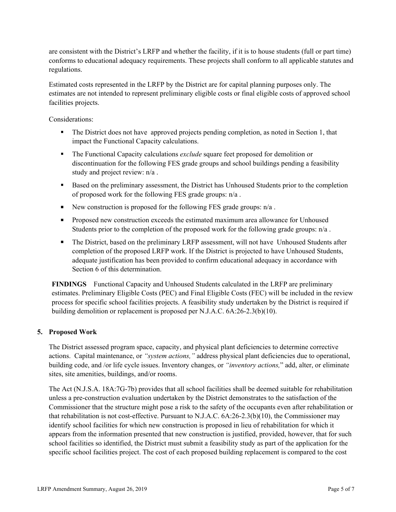are consistent with the District's LRFP and whether the facility, if it is to house students (full or part time) conforms to educational adequacy requirements. These projects shall conform to all applicable statutes and regulations.

Estimated costs represented in the LRFP by the District are for capital planning purposes only. The estimates are not intended to represent preliminary eligible costs or final eligible costs of approved school facilities projects.

Considerations:

- The District does not have approved projects pending completion, as noted in Section 1, that impact the Functional Capacity calculations.
- The Functional Capacity calculations *exclude* square feet proposed for demolition or discontinuation for the following FES grade groups and school buildings pending a feasibility study and project review: n/a .
- Based on the preliminary assessment, the District has Unhoused Students prior to the completion of proposed work for the following FES grade groups: n/a .
- New construction is proposed for the following FES grade groups:  $n/a$ .
- **Proposed new construction exceeds the estimated maximum area allowance for Unhoused** Students prior to the completion of the proposed work for the following grade groups: n/a .
- The District, based on the preliminary LRFP assessment, will not have Unhoused Students after completion of the proposed LRFP work. If the District is projected to have Unhoused Students, adequate justification has been provided to confirm educational adequacy in accordance with Section 6 of this determination.

**FINDINGS** Functional Capacity and Unhoused Students calculated in the LRFP are preliminary estimates. Preliminary Eligible Costs (PEC) and Final Eligible Costs (FEC) will be included in the review process for specific school facilities projects. A feasibility study undertaken by the District is required if building demolition or replacement is proposed per N.J.A.C. 6A:26-2.3(b)(10).

# **5. Proposed Work**

The District assessed program space, capacity, and physical plant deficiencies to determine corrective actions. Capital maintenance, or *"system actions,"* address physical plant deficiencies due to operational, building code, and /or life cycle issues. Inventory changes, or *"inventory actions,*" add, alter, or eliminate sites, site amenities, buildings, and/or rooms.

The Act (N.J.S.A. 18A:7G-7b) provides that all school facilities shall be deemed suitable for rehabilitation unless a pre-construction evaluation undertaken by the District demonstrates to the satisfaction of the Commissioner that the structure might pose a risk to the safety of the occupants even after rehabilitation or that rehabilitation is not cost-effective. Pursuant to N.J.A.C. 6A:26-2.3(b)(10), the Commissioner may identify school facilities for which new construction is proposed in lieu of rehabilitation for which it appears from the information presented that new construction is justified, provided, however, that for such school facilities so identified, the District must submit a feasibility study as part of the application for the specific school facilities project. The cost of each proposed building replacement is compared to the cost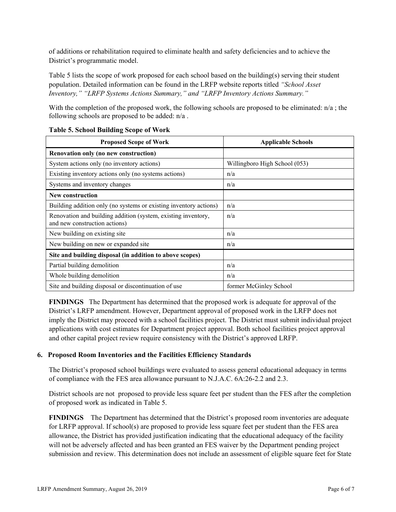of additions or rehabilitation required to eliminate health and safety deficiencies and to achieve the District's programmatic model.

Table 5 lists the scope of work proposed for each school based on the building(s) serving their student population. Detailed information can be found in the LRFP website reports titled *"School Asset Inventory," "LRFP Systems Actions Summary," and "LRFP Inventory Actions Summary."*

With the completion of the proposed work, the following schools are proposed to be eliminated:  $n/a$ ; the following schools are proposed to be added: n/a .

| <b>Proposed Scope of Work</b>                                                                  | <b>Applicable Schools</b>     |
|------------------------------------------------------------------------------------------------|-------------------------------|
| Renovation only (no new construction)                                                          |                               |
| System actions only (no inventory actions)                                                     | Willingboro High School (053) |
| Existing inventory actions only (no systems actions)                                           | n/a                           |
| Systems and inventory changes                                                                  | n/a                           |
| <b>New construction</b>                                                                        |                               |
| Building addition only (no systems or existing inventory actions)                              | n/a                           |
| Renovation and building addition (system, existing inventory,<br>and new construction actions) | n/a                           |
| New building on existing site                                                                  | n/a                           |
| New building on new or expanded site                                                           | n/a                           |
| Site and building disposal (in addition to above scopes)                                       |                               |
| Partial building demolition                                                                    | n/a                           |
| Whole building demolition                                                                      | n/a                           |
| Site and building disposal or discontinuation of use                                           | former McGinley School        |

### **Table 5. School Building Scope of Work**

**FINDINGS** The Department has determined that the proposed work is adequate for approval of the District's LRFP amendment. However, Department approval of proposed work in the LRFP does not imply the District may proceed with a school facilities project. The District must submit individual project applications with cost estimates for Department project approval. Both school facilities project approval and other capital project review require consistency with the District's approved LRFP.

# **6. Proposed Room Inventories and the Facilities Efficiency Standards**

The District's proposed school buildings were evaluated to assess general educational adequacy in terms of compliance with the FES area allowance pursuant to N.J.A.C. 6A:26-2.2 and 2.3.

District schools are not proposed to provide less square feet per student than the FES after the completion of proposed work as indicated in Table 5.

**FINDINGS** The Department has determined that the District's proposed room inventories are adequate for LRFP approval. If school(s) are proposed to provide less square feet per student than the FES area allowance, the District has provided justification indicating that the educational adequacy of the facility will not be adversely affected and has been granted an FES waiver by the Department pending project submission and review. This determination does not include an assessment of eligible square feet for State